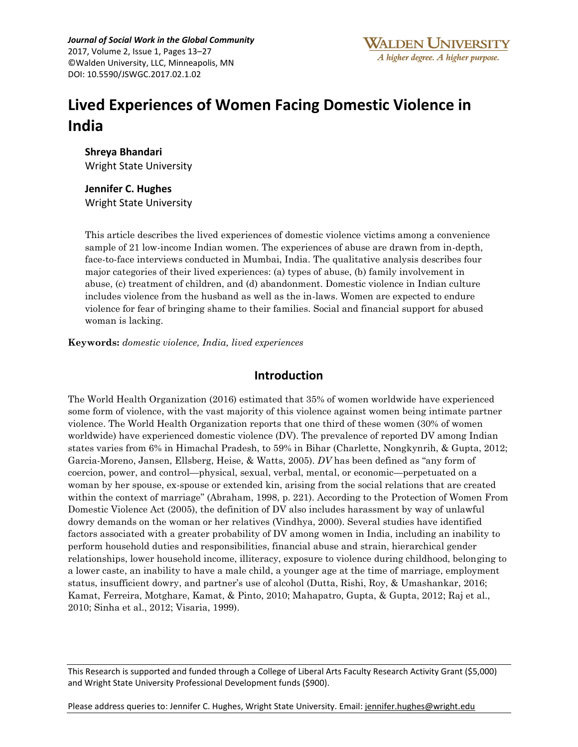*Journal of Social Work in the Global Community* 2017, Volume 2, Issue 1, Pages 13–27 ©Walden University, LLC, Minneapolis, MN DOI: 10.5590/JSWGC.2017.02.1.02

# **Lived Experiences of Women Facing Domestic Violence in India**

**Shreya Bhandari**  Wright State University

#### **Jennifer C. Hughes** Wright State University

This article describes the lived experiences of domestic violence victims among a convenience sample of 21 low-income Indian women. The experiences of abuse are drawn from in-depth, face-to-face interviews conducted in Mumbai, India. The qualitative analysis describes four major categories of their lived experiences: (a) types of abuse, (b) family involvement in abuse, (c) treatment of children, and (d) abandonment. Domestic violence in Indian culture includes violence from the husband as well as the in-laws. Women are expected to endure violence for fear of bringing shame to their families. Social and financial support for abused woman is lacking.

**Keywords:** *domestic violence, India, lived experiences*

## **Introduction**

The World Health Organization (2016) estimated that 35% of women worldwide have experienced some form of violence, with the vast majority of this violence against women being intimate partner violence. The World Health Organization reports that one third of these women (30% of women worldwide) have experienced domestic violence (DV). The prevalence of reported DV among Indian states varies from 6% in Himachal Pradesh, to 59% in Bihar (Charlette, Nongkynrih, & Gupta, 2012; Garcia-Moreno, Jansen, Ellsberg, Heise, & Watts, 2005). *DV* has been defined as "any form of coercion, power, and control—physical, sexual, verbal, mental, or economic—perpetuated on a woman by her spouse, ex-spouse or extended kin, arising from the social relations that are created within the context of marriage" (Abraham, 1998, p. 221). According to the Protection of Women From Domestic Violence Act (2005), the definition of DV also includes harassment by way of unlawful dowry demands on the woman or her relatives (Vindhya, 2000). Several studies have identified factors associated with a greater probability of DV among women in India, including an inability to perform household duties and responsibilities, financial abuse and strain, hierarchical gender relationships, lower household income, illiteracy, exposure to violence during childhood, belonging to a lower caste, an inability to have a male child, a younger age at the time of marriage, employment status, insufficient dowry, and partner's use of alcohol (Dutta, Rishi, Roy, & Umashankar, 2016; Kamat, Ferreira, Motghare, Kamat, & Pinto, 2010; Mahapatro, Gupta, & Gupta, 2012; Raj et al., 2010; Sinha et al., 2012; Visaria, 1999).

This Research is supported and funded through a College of Liberal Arts Faculty Research Activity Grant (\$5,000) and Wright State University Professional Development funds (\$900).

Please address queries to: Jennifer C. Hughes, Wright State University. Email: [jennifer.hughes@wright.edu](mailto:jennifer.hughes@wright.edu)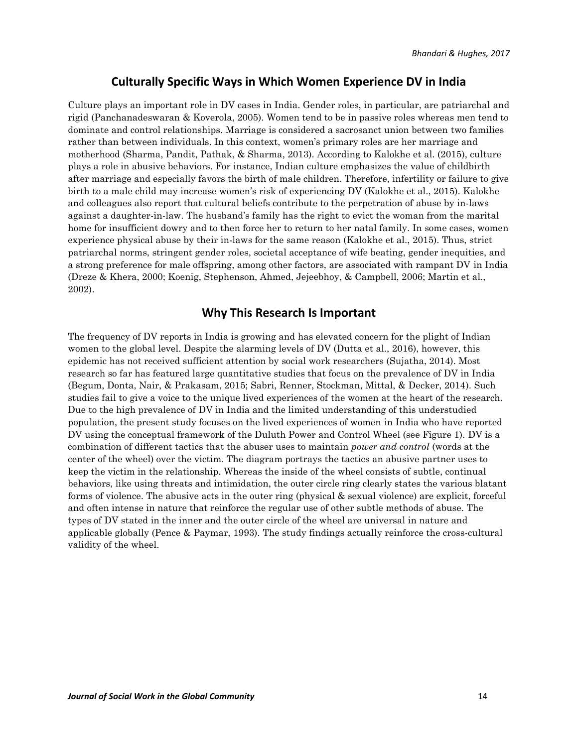## **Culturally Specific Ways in Which Women Experience DV in India**

Culture plays an important role in DV cases in India. Gender roles, in particular, are patriarchal and rigid (Panchanadeswaran & Koverola, 2005). Women tend to be in passive roles whereas men tend to dominate and control relationships. Marriage is considered a sacrosanct union between two families rather than between individuals. In this context, women's primary roles are her marriage and motherhood (Sharma, Pandit, Pathak, & Sharma, 2013). According to Kalokhe et al. (2015), culture plays a role in abusive behaviors. For instance, Indian culture emphasizes the value of childbirth after marriage and especially favors the birth of male children. Therefore, infertility or failure to give birth to a male child may increase women's risk of experiencing DV (Kalokhe et al., 2015). Kalokhe and colleagues also report that cultural beliefs contribute to the perpetration of abuse by in-laws against a daughter-in-law. The husband's family has the right to evict the woman from the marital home for insufficient dowry and to then force her to return to her natal family. In some cases, women experience physical abuse by their in-laws for the same reason (Kalokhe et al., 2015). Thus, strict patriarchal norms, stringent gender roles, societal acceptance of wife beating, gender inequities, and a strong preference for male offspring, among other factors, are associated with rampant DV in India (Dreze & Khera, 2000; Koenig, Stephenson, Ahmed, Jejeebhoy, & Campbell, 2006; Martin et al., 2002).

## **Why This Research Is Important**

The frequency of DV reports in India is growing and has elevated concern for the plight of Indian women to the global level. Despite the alarming levels of DV (Dutta et al., 2016), however, this epidemic has not received sufficient attention by social work researchers (Sujatha, 2014). Most research so far has featured large quantitative studies that focus on the prevalence of DV in India (Begum, Donta, Nair, & Prakasam, 2015; Sabri, Renner, Stockman, Mittal, & Decker, 2014). Such studies fail to give a voice to the unique lived experiences of the women at the heart of the research. Due to the high prevalence of DV in India and the limited understanding of this understudied population, the present study focuses on the lived experiences of women in India who have reported DV using the conceptual framework of the Duluth Power and Control Wheel (see Figure 1). DV is a combination of different tactics that the abuser uses to maintain *power and control* (words at the center of the wheel) over the victim. The diagram portrays the tactics an abusive partner uses to keep the victim in the relationship. Whereas the inside of the wheel consists of subtle, continual behaviors, like using threats and intimidation, the outer circle ring clearly states the various blatant forms of violence. The abusive acts in the outer ring (physical & sexual violence) are explicit, forceful and often intense in nature that reinforce the regular use of other subtle methods of abuse. The types of DV stated in the inner and the outer circle of the wheel are universal in nature and applicable globally (Pence & Paymar, 1993). The study findings actually reinforce the cross-cultural validity of the wheel.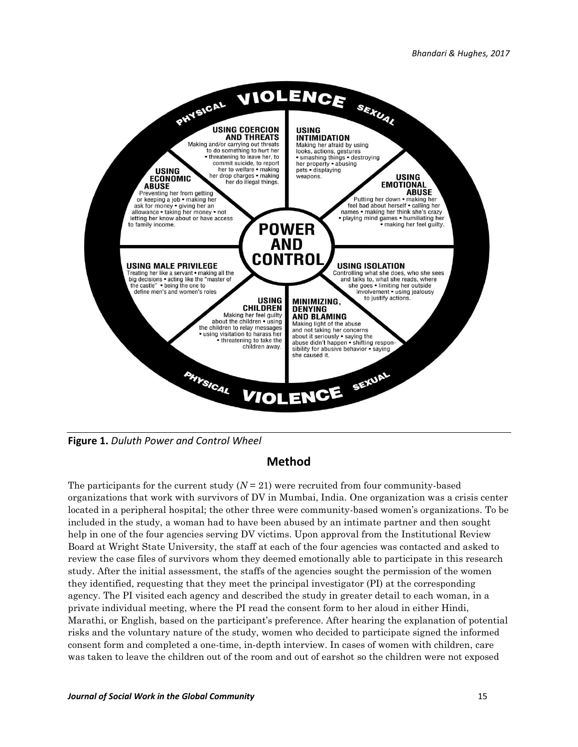

**Figure 1.** *Duluth Power and Control Wheel*

## **Method**

The participants for the current study  $(N = 21)$  were recruited from four community-based organizations that work with survivors of DV in Mumbai, India. One organization was a crisis center located in a peripheral hospital; the other three were community-based women's organizations. To be included in the study, a woman had to have been abused by an intimate partner and then sought help in one of the four agencies serving DV victims. Upon approval from the Institutional Review Board at Wright State University, the staff at each of the four agencies was contacted and asked to review the case files of survivors whom they deemed emotionally able to participate in this research study. After the initial assessment, the staffs of the agencies sought the permission of the women they identified, requesting that they meet the principal investigator (PI) at the corresponding agency. The PI visited each agency and described the study in greater detail to each woman, in a private individual meeting, where the PI read the consent form to her aloud in either Hindi, Marathi, or English, based on the participant's preference. After hearing the explanation of potential risks and the voluntary nature of the study, women who decided to participate signed the informed consent form and completed a one-time, in-depth interview. In cases of women with children, care was taken to leave the children out of the room and out of earshot so the children were not exposed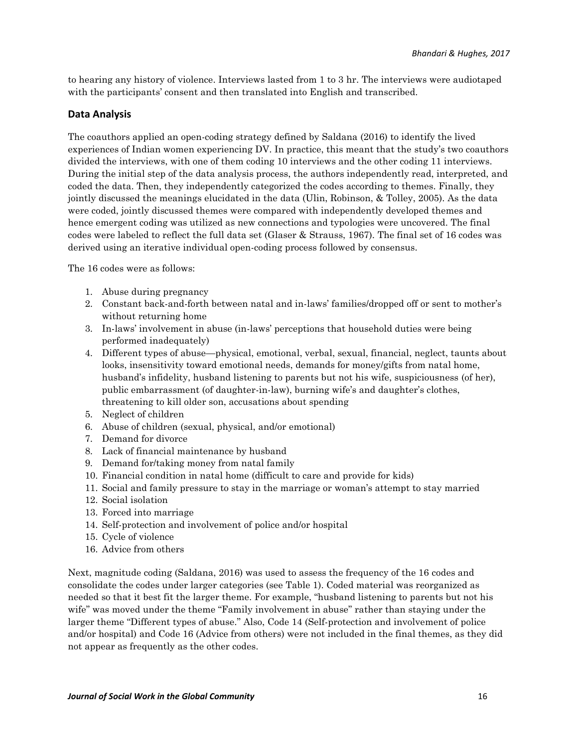to hearing any history of violence. Interviews lasted from 1 to 3 hr. The interviews were audiotaped with the participants' consent and then translated into English and transcribed.

#### **Data Analysis**

The coauthors applied an open-coding strategy defined by Saldana (2016) to identify the lived experiences of Indian women experiencing DV. In practice, this meant that the study's two coauthors divided the interviews, with one of them coding 10 interviews and the other coding 11 interviews. During the initial step of the data analysis process, the authors independently read, interpreted, and coded the data. Then, they independently categorized the codes according to themes. Finally, they jointly discussed the meanings elucidated in the data (Ulin, Robinson, & Tolley, 2005). As the data were coded, jointly discussed themes were compared with independently developed themes and hence emergent coding was utilized as new connections and typologies were uncovered. The final codes were labeled to reflect the full data set (Glaser & Strauss, 1967). The final set of 16 codes was derived using an iterative individual open-coding process followed by consensus.

The 16 codes were as follows:

- 1. Abuse during pregnancy
- 2. Constant back-and-forth between natal and in-laws' families/dropped off or sent to mother's without returning home
- 3. In-laws' involvement in abuse (in-laws' perceptions that household duties were being performed inadequately)
- 4. Different types of abuse—physical, emotional, verbal, sexual, financial, neglect, taunts about looks, insensitivity toward emotional needs, demands for money/gifts from natal home, husband's infidelity, husband listening to parents but not his wife, suspiciousness (of her), public embarrassment (of daughter-in-law), burning wife's and daughter's clothes, threatening to kill older son, accusations about spending
- 5. Neglect of children
- 6. Abuse of children (sexual, physical, and/or emotional)
- 7. Demand for divorce
- 8. Lack of financial maintenance by husband
- 9. Demand for/taking money from natal family
- 10. Financial condition in natal home (difficult to care and provide for kids)
- 11. Social and family pressure to stay in the marriage or woman's attempt to stay married
- 12. Social isolation
- 13. Forced into marriage
- 14. Self-protection and involvement of police and/or hospital
- 15. Cycle of violence
- 16. Advice from others

Next, magnitude coding (Saldana, 2016) was used to assess the frequency of the 16 codes and consolidate the codes under larger categories (see Table 1). Coded material was reorganized as needed so that it best fit the larger theme. For example, "husband listening to parents but not his wife" was moved under the theme "Family involvement in abuse" rather than staying under the larger theme "Different types of abuse." Also, Code 14 (Self-protection and involvement of police and/or hospital) and Code 16 (Advice from others) were not included in the final themes, as they did not appear as frequently as the other codes.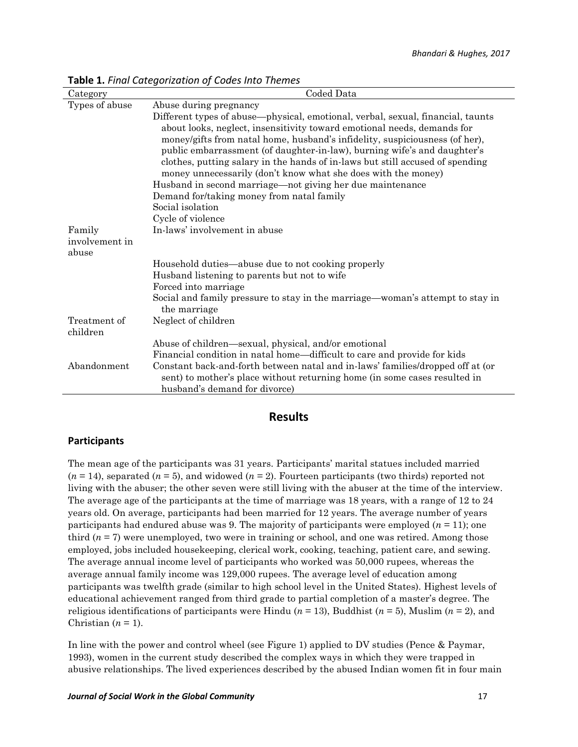| Category       | Coded Data                                                                                                                                                                                   |
|----------------|----------------------------------------------------------------------------------------------------------------------------------------------------------------------------------------------|
| Types of abuse | Abuse during pregnancy                                                                                                                                                                       |
|                | Different types of abuse—physical, emotional, verbal, sexual, financial, taunts                                                                                                              |
|                | about looks, neglect, insensitivity toward emotional needs, demands for                                                                                                                      |
|                | money/gifts from natal home, husband's infidelity, suspiciousness (of her),                                                                                                                  |
|                | public embarrassment (of daughter-in-law), burning wife's and daughter's                                                                                                                     |
|                | clothes, putting salary in the hands of in-laws but still accused of spending                                                                                                                |
|                | money unnecessarily (don't know what she does with the money)                                                                                                                                |
|                | Husband in second marriage—not giving her due maintenance                                                                                                                                    |
|                | Demand for/taking money from natal family                                                                                                                                                    |
|                | Social isolation                                                                                                                                                                             |
|                | Cycle of violence                                                                                                                                                                            |
| Family         | In-laws' involvement in abuse                                                                                                                                                                |
| involvement in |                                                                                                                                                                                              |
| abuse          |                                                                                                                                                                                              |
|                | Household duties—abuse due to not cooking properly                                                                                                                                           |
|                | Husband listening to parents but not to wife                                                                                                                                                 |
|                | Forced into marriage                                                                                                                                                                         |
|                | Social and family pressure to stay in the marriage—woman's attempt to stay in<br>the marriage                                                                                                |
| Treatment of   | Neglect of children                                                                                                                                                                          |
| children       |                                                                                                                                                                                              |
|                | Abuse of children—sexual, physical, and/or emotional                                                                                                                                         |
|                | Financial condition in natal home—difficult to care and provide for kids                                                                                                                     |
| Abandonment    | Constant back-and-forth between natal and in-laws' families/dropped off at (or<br>sent) to mother's place without returning home (in some cases resulted in<br>husband's demand for divorce) |
|                |                                                                                                                                                                                              |

**Table 1.** *Final Categorization of Codes Into Themes*

#### **Results**

#### **Participants**

The mean age of the participants was 31 years. Participants' marital statues included married  $(n = 14)$ , separated  $(n = 5)$ , and widowed  $(n = 2)$ . Fourteen participants (two thirds) reported not living with the abuser; the other seven were still living with the abuser at the time of the interview. The average age of the participants at the time of marriage was 18 years, with a range of 12 to 24 years old. On average, participants had been married for 12 years. The average number of years participants had endured abuse was 9. The majority of participants were employed  $(n = 11)$ ; one third  $(n = 7)$  were unemployed, two were in training or school, and one was retired. Among those employed, jobs included housekeeping, clerical work, cooking, teaching, patient care, and sewing. The average annual income level of participants who worked was 50,000 rupees, whereas the average annual family income was 129,000 rupees. The average level of education among participants was twelfth grade (similar to high school level in the United States). Highest levels of educational achievement ranged from third grade to partial completion of a master's degree. The religious identifications of participants were Hindu ( $n = 13$ ), Buddhist ( $n = 5$ ), Muslim ( $n = 2$ ), and Christian  $(n = 1)$ .

In line with the power and control wheel (see Figure 1) applied to DV studies (Pence & Paymar, 1993), women in the current study described the complex ways in which they were trapped in abusive relationships. The lived experiences described by the abused Indian women fit in four main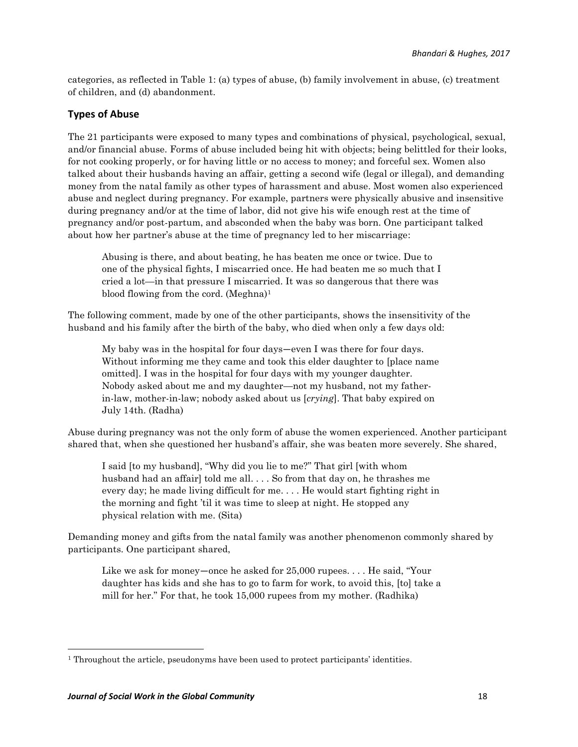categories, as reflected in Table 1: (a) types of abuse, (b) family involvement in abuse, (c) treatment of children, and (d) abandonment.

## **Types of Abuse**

The 21 participants were exposed to many types and combinations of physical, psychological, sexual, and/or financial abuse. Forms of abuse included being hit with objects; being belittled for their looks, for not cooking properly, or for having little or no access to money; and forceful sex. Women also talked about their husbands having an affair, getting a second wife (legal or illegal), and demanding money from the natal family as other types of harassment and abuse. Most women also experienced abuse and neglect during pregnancy. For example, partners were physically abusive and insensitive during pregnancy and/or at the time of labor, did not give his wife enough rest at the time of pregnancy and/or post-partum, and absconded when the baby was born. One participant talked about how her partner's abuse at the time of pregnancy led to her miscarriage:

Abusing is there, and about beating, he has beaten me once or twice. Due to one of the physical fights, I miscarried once. He had beaten me so much that I cried a lot—in that pressure I miscarried. It was so dangerous that there was blood flowing from the cord. (Meghna)<sup>1</sup>

The following comment, made by one of the other participants, shows the insensitivity of the husband and his family after the birth of the baby, who died when only a few days old:

My baby was in the hospital for four days—even I was there for four days. Without informing me they came and took this elder daughter to [place name omitted]. I was in the hospital for four days with my younger daughter. Nobody asked about me and my daughter—not my husband, not my fatherin-law, mother-in-law; nobody asked about us [*crying*]. That baby expired on July 14th. (Radha)

Abuse during pregnancy was not the only form of abuse the women experienced. Another participant shared that, when she questioned her husband's affair, she was beaten more severely. She shared,

I said [to my husband], "Why did you lie to me?" That girl [with whom husband had an affair] told me all. . . . So from that day on, he thrashes me every day; he made living difficult for me. . . . He would start fighting right in the morning and fight 'til it was time to sleep at night. He stopped any physical relation with me. (Sita)

Demanding money and gifts from the natal family was another phenomenon commonly shared by participants. One participant shared,

Like we ask for money—once he asked for 25,000 rupees. . . . He said, "Your daughter has kids and she has to go to farm for work, to avoid this, [to] take a mill for her." For that, he took 15,000 rupees from my mother. (Radhika)

 $\overline{a}$ 

<sup>&</sup>lt;sup>1</sup> Throughout the article, pseudonyms have been used to protect participants' identities.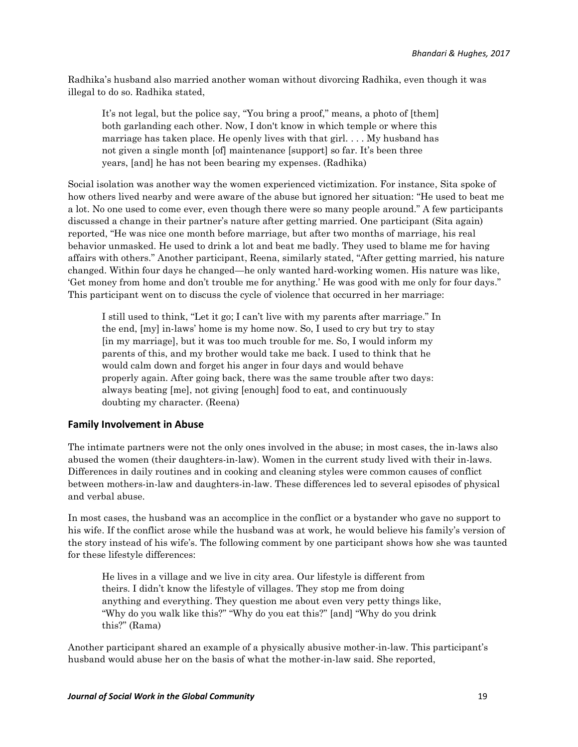Radhika's husband also married another woman without divorcing Radhika, even though it was illegal to do so. Radhika stated,

It's not legal, but the police say, "You bring a proof," means, a photo of [them] both garlanding each other. Now, I don't know in which temple or where this marriage has taken place. He openly lives with that girl. . . . My husband has not given a single month [of] maintenance [support] so far. It's been three years, [and] he has not been bearing my expenses. (Radhika)

Social isolation was another way the women experienced victimization. For instance, Sita spoke of how others lived nearby and were aware of the abuse but ignored her situation: "He used to beat me a lot. No one used to come ever, even though there were so many people around." A few participants discussed a change in their partner's nature after getting married. One participant (Sita again) reported, "He was nice one month before marriage, but after two months of marriage, his real behavior unmasked. He used to drink a lot and beat me badly. They used to blame me for having affairs with others." Another participant, Reena, similarly stated, "After getting married, his nature changed. Within four days he changed—he only wanted hard-working women. His nature was like, 'Get money from home and don't trouble me for anything.' He was good with me only for four days." This participant went on to discuss the cycle of violence that occurred in her marriage:

I still used to think, "Let it go; I can't live with my parents after marriage." In the end, [my] in-laws' home is my home now. So, I used to cry but try to stay [in my marriage], but it was too much trouble for me. So, I would inform my parents of this, and my brother would take me back. I used to think that he would calm down and forget his anger in four days and would behave properly again. After going back, there was the same trouble after two days: always beating [me], not giving [enough] food to eat, and continuously doubting my character. (Reena)

#### **Family Involvement in Abuse**

The intimate partners were not the only ones involved in the abuse; in most cases, the in-laws also abused the women (their daughters-in-law). Women in the current study lived with their in-laws. Differences in daily routines and in cooking and cleaning styles were common causes of conflict between mothers-in-law and daughters-in-law. These differences led to several episodes of physical and verbal abuse.

In most cases, the husband was an accomplice in the conflict or a bystander who gave no support to his wife. If the conflict arose while the husband was at work, he would believe his family's version of the story instead of his wife's. The following comment by one participant shows how she was taunted for these lifestyle differences:

He lives in a village and we live in city area. Our lifestyle is different from theirs. I didn't know the lifestyle of villages. They stop me from doing anything and everything. They question me about even very petty things like, "Why do you walk like this?" "Why do you eat this?" [and] "Why do you drink this?" (Rama)

Another participant shared an example of a physically abusive mother-in-law. This participant's husband would abuse her on the basis of what the mother-in-law said. She reported,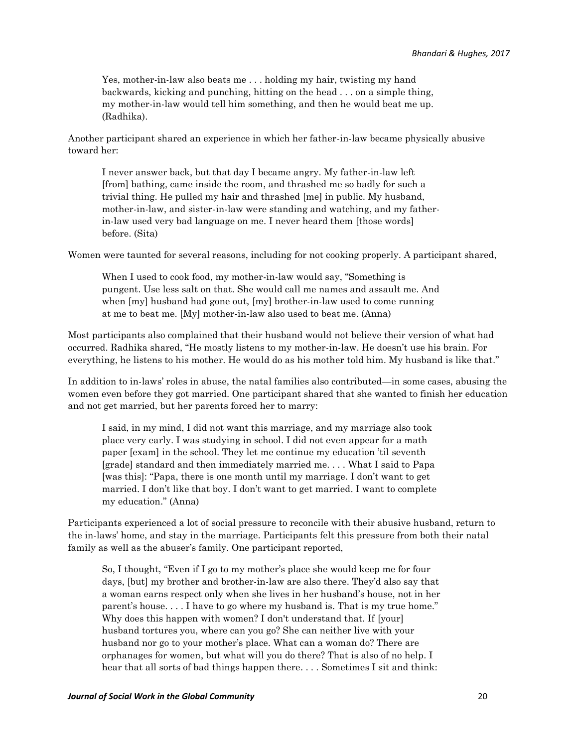Yes, mother-in-law also beats me . . . holding my hair, twisting my hand backwards, kicking and punching, hitting on the head . . . on a simple thing, my mother-in-law would tell him something, and then he would beat me up. (Radhika).

Another participant shared an experience in which her father-in-law became physically abusive toward her:

I never answer back, but that day I became angry. My father-in-law left [from] bathing, came inside the room, and thrashed me so badly for such a trivial thing. He pulled my hair and thrashed [me] in public. My husband, mother-in-law, and sister-in-law were standing and watching, and my fatherin-law used very bad language on me. I never heard them [those words] before. (Sita)

Women were taunted for several reasons, including for not cooking properly. A participant shared,

When I used to cook food, my mother-in-law would say, "Something is pungent. Use less salt on that. She would call me names and assault me. And when [my] husband had gone out, [my] brother-in-law used to come running at me to beat me. [My] mother-in-law also used to beat me. (Anna)

Most participants also complained that their husband would not believe their version of what had occurred. Radhika shared, "He mostly listens to my mother-in-law. He doesn't use his brain. For everything, he listens to his mother. He would do as his mother told him. My husband is like that."

In addition to in-laws' roles in abuse, the natal families also contributed—in some cases, abusing the women even before they got married. One participant shared that she wanted to finish her education and not get married, but her parents forced her to marry:

I said, in my mind, I did not want this marriage, and my marriage also took place very early. I was studying in school. I did not even appear for a math paper [exam] in the school. They let me continue my education 'til seventh [grade] standard and then immediately married me. . . . What I said to Papa [was this]: "Papa, there is one month until my marriage. I don't want to get married. I don't like that boy. I don't want to get married. I want to complete my education." (Anna)

Participants experienced a lot of social pressure to reconcile with their abusive husband, return to the in-laws' home, and stay in the marriage. Participants felt this pressure from both their natal family as well as the abuser's family. One participant reported,

So, I thought, "Even if I go to my mother's place she would keep me for four days, [but] my brother and brother-in-law are also there. They'd also say that a woman earns respect only when she lives in her husband's house, not in her parent's house. . . . I have to go where my husband is. That is my true home." Why does this happen with women? I don't understand that. If [your] husband tortures you, where can you go? She can neither live with your husband nor go to your mother's place. What can a woman do? There are orphanages for women, but what will you do there? That is also of no help. I hear that all sorts of bad things happen there.... Sometimes I sit and think: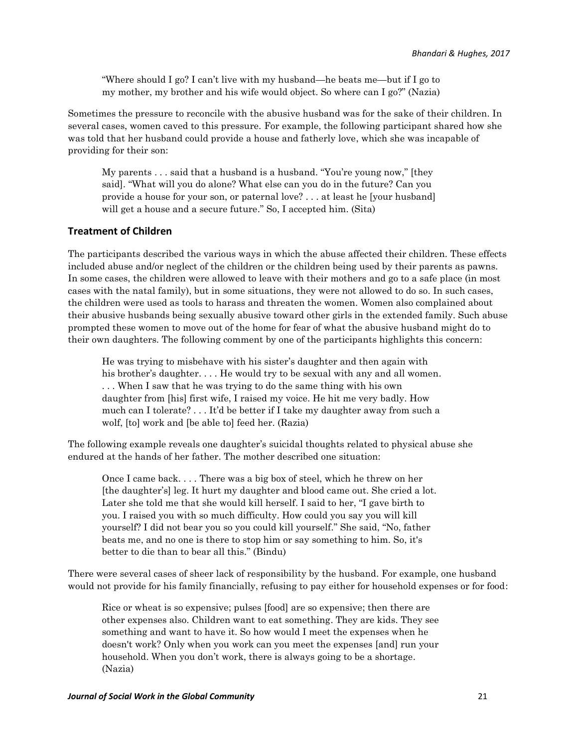"Where should I go? I can't live with my husband—he beats me—but if I go to my mother, my brother and his wife would object. So where can I go?" (Nazia)

Sometimes the pressure to reconcile with the abusive husband was for the sake of their children. In several cases, women caved to this pressure. For example, the following participant shared how she was told that her husband could provide a house and fatherly love, which she was incapable of providing for their son:

My parents . . . said that a husband is a husband. "You're young now," [they said]. "What will you do alone? What else can you do in the future? Can you provide a house for your son, or paternal love? . . . at least he [your husband] will get a house and a secure future." So, I accepted him. (Sita)

#### **Treatment of Children**

The participants described the various ways in which the abuse affected their children. These effects included abuse and/or neglect of the children or the children being used by their parents as pawns. In some cases, the children were allowed to leave with their mothers and go to a safe place (in most cases with the natal family), but in some situations, they were not allowed to do so. In such cases, the children were used as tools to harass and threaten the women. Women also complained about their abusive husbands being sexually abusive toward other girls in the extended family. Such abuse prompted these women to move out of the home for fear of what the abusive husband might do to their own daughters. The following comment by one of the participants highlights this concern:

He was trying to misbehave with his sister's daughter and then again with his brother's daughter. . . . He would try to be sexual with any and all women. . . . When I saw that he was trying to do the same thing with his own daughter from [his] first wife, I raised my voice. He hit me very badly. How much can I tolerate? . . . It'd be better if I take my daughter away from such a wolf, [to] work and [be able to] feed her. (Razia)

The following example reveals one daughter's suicidal thoughts related to physical abuse she endured at the hands of her father. The mother described one situation:

Once I came back. . . . There was a big box of steel, which he threw on her [the daughter's] leg. It hurt my daughter and blood came out. She cried a lot. Later she told me that she would kill herself. I said to her, "I gave birth to you. I raised you with so much difficulty. How could you say you will kill yourself? I did not bear you so you could kill yourself." She said, "No, father beats me, and no one is there to stop him or say something to him. So, it's better to die than to bear all this." (Bindu)

There were several cases of sheer lack of responsibility by the husband. For example, one husband would not provide for his family financially, refusing to pay either for household expenses or for food:

Rice or wheat is so expensive; pulses [food] are so expensive; then there are other expenses also. Children want to eat something. They are kids. They see something and want to have it. So how would I meet the expenses when he doesn't work? Only when you work can you meet the expenses [and] run your household. When you don't work, there is always going to be a shortage. (Nazia)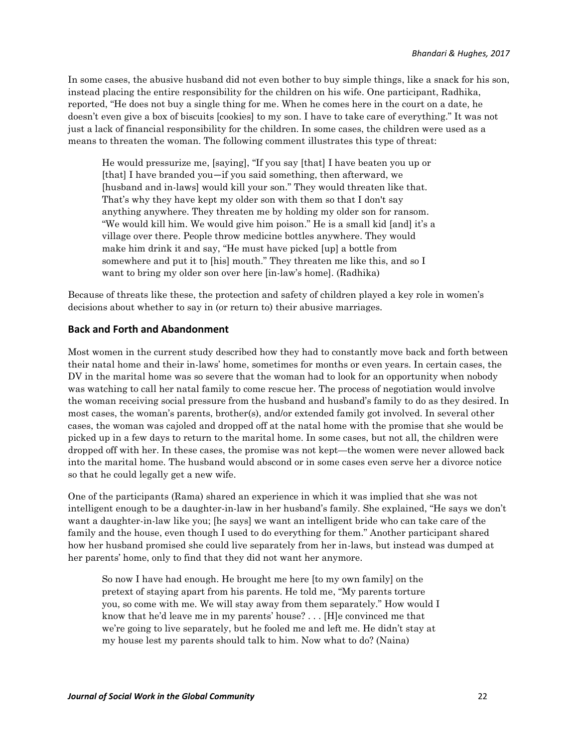In some cases, the abusive husband did not even bother to buy simple things, like a snack for his son, instead placing the entire responsibility for the children on his wife. One participant, Radhika, reported, "He does not buy a single thing for me. When he comes here in the court on a date, he doesn't even give a box of biscuits [cookies] to my son. I have to take care of everything." It was not just a lack of financial responsibility for the children. In some cases, the children were used as a means to threaten the woman. The following comment illustrates this type of threat:

He would pressurize me, [saying], "If you say [that] I have beaten you up or [that] I have branded you—if you said something, then afterward, we [husband and in-laws] would kill your son." They would threaten like that. That's why they have kept my older son with them so that I don't say anything anywhere. They threaten me by holding my older son for ransom. "We would kill him. We would give him poison." He is a small kid [and] it's a village over there. People throw medicine bottles anywhere. They would make him drink it and say, "He must have picked [up] a bottle from somewhere and put it to [his] mouth." They threaten me like this, and so I want to bring my older son over here [in-law's home]. (Radhika)

Because of threats like these, the protection and safety of children played a key role in women's decisions about whether to say in (or return to) their abusive marriages.

#### **Back and Forth and Abandonment**

Most women in the current study described how they had to constantly move back and forth between their natal home and their in-laws' home, sometimes for months or even years. In certain cases, the DV in the marital home was so severe that the woman had to look for an opportunity when nobody was watching to call her natal family to come rescue her. The process of negotiation would involve the woman receiving social pressure from the husband and husband's family to do as they desired. In most cases, the woman's parents, brother(s), and/or extended family got involved. In several other cases, the woman was cajoled and dropped off at the natal home with the promise that she would be picked up in a few days to return to the marital home. In some cases, but not all, the children were dropped off with her. In these cases, the promise was not kept—the women were never allowed back into the marital home. The husband would abscond or in some cases even serve her a divorce notice so that he could legally get a new wife.

One of the participants (Rama) shared an experience in which it was implied that she was not intelligent enough to be a daughter-in-law in her husband's family. She explained, "He says we don't want a daughter-in-law like you; [he says] we want an intelligent bride who can take care of the family and the house, even though I used to do everything for them." Another participant shared how her husband promised she could live separately from her in-laws, but instead was dumped at her parents' home, only to find that they did not want her anymore.

So now I have had enough. He brought me here [to my own family] on the pretext of staying apart from his parents. He told me, "My parents torture you, so come with me. We will stay away from them separately." How would I know that he'd leave me in my parents' house? . . . [H]e convinced me that we're going to live separately, but he fooled me and left me. He didn't stay at my house lest my parents should talk to him. Now what to do? (Naina)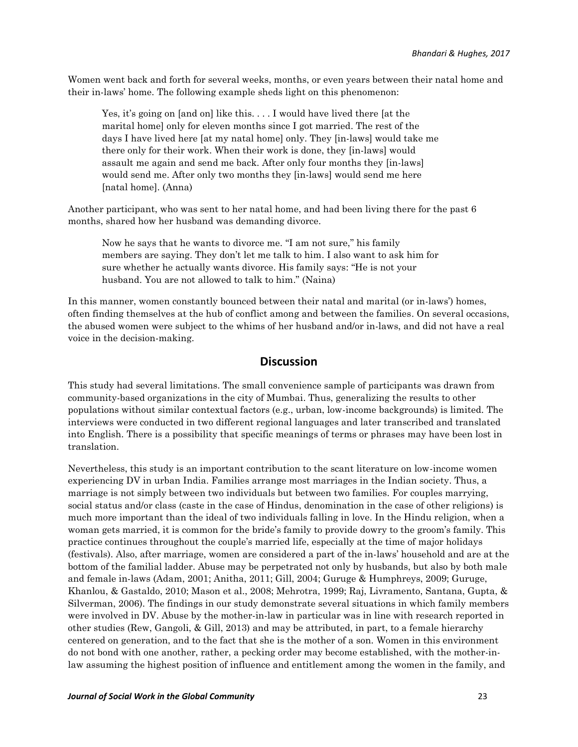Women went back and forth for several weeks, months, or even years between their natal home and their in-laws' home. The following example sheds light on this phenomenon:

Yes, it's going on [and on] like this. . . . I would have lived there [at the marital home] only for eleven months since I got married. The rest of the days I have lived here [at my natal home] only. They [in-laws] would take me there only for their work. When their work is done, they [in-laws] would assault me again and send me back. After only four months they [in-laws] would send me. After only two months they [in-laws] would send me here [natal home]. (Anna)

Another participant, who was sent to her natal home, and had been living there for the past 6 months, shared how her husband was demanding divorce.

Now he says that he wants to divorce me. "I am not sure," his family members are saying. They don't let me talk to him. I also want to ask him for sure whether he actually wants divorce. His family says: "He is not your husband. You are not allowed to talk to him." (Naina)

In this manner, women constantly bounced between their natal and marital (or in-laws') homes, often finding themselves at the hub of conflict among and between the families. On several occasions, the abused women were subject to the whims of her husband and/or in-laws, and did not have a real voice in the decision-making.

## **Discussion**

This study had several limitations. The small convenience sample of participants was drawn from community-based organizations in the city of Mumbai. Thus, generalizing the results to other populations without similar contextual factors (e.g., urban, low-income backgrounds) is limited. The interviews were conducted in two different regional languages and later transcribed and translated into English. There is a possibility that specific meanings of terms or phrases may have been lost in translation.

Nevertheless, this study is an important contribution to the scant literature on low-income women experiencing DV in urban India. Families arrange most marriages in the Indian society. Thus, a marriage is not simply between two individuals but between two families. For couples marrying, social status and/or class (caste in the case of Hindus, denomination in the case of other religions) is much more important than the ideal of two individuals falling in love. In the Hindu religion, when a woman gets married, it is common for the bride's family to provide dowry to the groom's family. This practice continues throughout the couple's married life, especially at the time of major holidays (festivals). Also, after marriage, women are considered a part of the in-laws' household and are at the bottom of the familial ladder. Abuse may be perpetrated not only by husbands, but also by both male and female in-laws (Adam, 2001; Anitha, 2011; Gill, 2004; Guruge & Humphreys, 2009; Guruge, Khanlou, & Gastaldo, 2010; Mason et al., 2008; Mehrotra, 1999; Raj, Livramento, Santana, Gupta, & Silverman, 2006). The findings in our study demonstrate several situations in which family members were involved in DV. Abuse by the mother-in-law in particular was in line with research reported in other studies (Rew, Gangoli, & Gill, 2013) and may be attributed, in part, to a female hierarchy centered on generation, and to the fact that she is the mother of a son. Women in this environment do not bond with one another, rather, a pecking order may become established, with the mother-inlaw assuming the highest position of influence and entitlement among the women in the family, and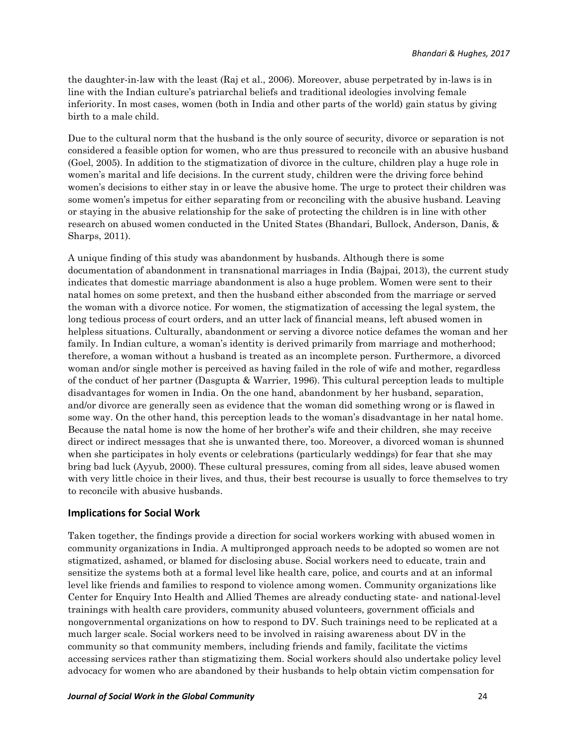the daughter-in-law with the least (Raj et al., 2006). Moreover, abuse perpetrated by in-laws is in line with the Indian culture's patriarchal beliefs and traditional ideologies involving female inferiority. In most cases, women (both in India and other parts of the world) gain status by giving birth to a male child.

Due to the cultural norm that the husband is the only source of security, divorce or separation is not considered a feasible option for women, who are thus pressured to reconcile with an abusive husband (Goel, 2005). In addition to the stigmatization of divorce in the culture, children play a huge role in women's marital and life decisions. In the current study, children were the driving force behind women's decisions to either stay in or leave the abusive home. The urge to protect their children was some women's impetus for either separating from or reconciling with the abusive husband. Leaving or staying in the abusive relationship for the sake of protecting the children is in line with other research on abused women conducted in the United States (Bhandari, Bullock, Anderson, Danis, & Sharps, 2011).

A unique finding of this study was abandonment by husbands. Although there is some documentation of abandonment in transnational marriages in India (Bajpai, 2013), the current study indicates that domestic marriage abandonment is also a huge problem. Women were sent to their natal homes on some pretext, and then the husband either absconded from the marriage or served the woman with a divorce notice. For women, the stigmatization of accessing the legal system, the long tedious process of court orders, and an utter lack of financial means, left abused women in helpless situations. Culturally, abandonment or serving a divorce notice defames the woman and her family. In Indian culture, a woman's identity is derived primarily from marriage and motherhood; therefore, a woman without a husband is treated as an incomplete person. Furthermore, a divorced woman and/or single mother is perceived as having failed in the role of wife and mother, regardless of the conduct of her partner (Dasgupta & Warrier, 1996). This cultural perception leads to multiple disadvantages for women in India. On the one hand, abandonment by her husband, separation, and/or divorce are generally seen as evidence that the woman did something wrong or is flawed in some way. On the other hand, this perception leads to the woman's disadvantage in her natal home. Because the natal home is now the home of her brother's wife and their children, she may receive direct or indirect messages that she is unwanted there, too. Moreover, a divorced woman is shunned when she participates in holy events or celebrations (particularly weddings) for fear that she may bring bad luck (Ayyub, 2000). These cultural pressures, coming from all sides, leave abused women with very little choice in their lives, and thus, their best recourse is usually to force themselves to try to reconcile with abusive husbands.

#### **Implications for Social Work**

Taken together, the findings provide a direction for social workers working with abused women in community organizations in India. A multipronged approach needs to be adopted so women are not stigmatized, ashamed, or blamed for disclosing abuse. Social workers need to educate, train and sensitize the systems both at a formal level like health care, police, and courts and at an informal level like friends and families to respond to violence among women. Community organizations like Center for Enquiry Into Health and Allied Themes are already conducting state- and national-level trainings with health care providers, community abused volunteers, government officials and nongovernmental organizations on how to respond to DV. Such trainings need to be replicated at a much larger scale. Social workers need to be involved in raising awareness about DV in the community so that community members, including friends and family, facilitate the victims accessing services rather than stigmatizing them. Social workers should also undertake policy level advocacy for women who are abandoned by their husbands to help obtain victim compensation for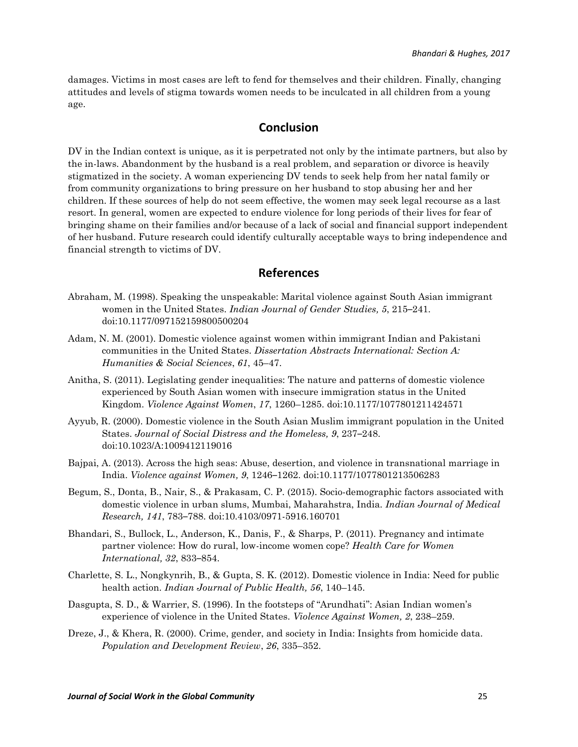damages. Victims in most cases are left to fend for themselves and their children. Finally, changing attitudes and levels of stigma towards women needs to be inculcated in all children from a young age.

#### **Conclusion**

DV in the Indian context is unique, as it is perpetrated not only by the intimate partners, but also by the in-laws. Abandonment by the husband is a real problem, and separation or divorce is heavily stigmatized in the society. A woman experiencing DV tends to seek help from her natal family or from community organizations to bring pressure on her husband to stop abusing her and her children. If these sources of help do not seem effective, the women may seek legal recourse as a last resort. In general, women are expected to endure violence for long periods of their lives for fear of bringing shame on their families and/or because of a lack of social and financial support independent of her husband. Future research could identify culturally acceptable ways to bring independence and financial strength to victims of DV.

## **References**

- Abraham, M. (1998). Speaking the unspeakable: Marital violence against South Asian immigrant women in the United States. *Indian Journal of Gender Studies, 5*, 215–241. doi:10.1177/097152159800500204
- Adam, N. M. (2001). Domestic violence against women within immigrant Indian and Pakistani communities in the United States. *Dissertation Abstracts International: Section A: Humanities & Social Sciences*, *61*, 45–47.
- Anitha, S. (2011). Legislating gender inequalities: The nature and patterns of domestic violence experienced by South Asian women with insecure immigration status in the United Kingdom. *Violence Against Women*, *17*, 1260–1285. doi:10.1177/1077801211424571
- Ayyub, R. (2000). Domestic violence in the South Asian Muslim immigrant population in the United States. *Journal of Social Distress and the Homeless, 9*, 237–248. doi:10.1023/A:1009412119016
- Bajpai, A. (2013). Across the high seas: Abuse, desertion, and violence in transnational marriage in India. *Violence against Women, 9*, 1246–1262. doi:10.1177/1077801213506283
- Begum, S., Donta, B., Nair, S., & Prakasam, C. P. (2015). Socio-demographic factors associated with domestic violence in urban slums, Mumbai, Maharahstra, India. *Indian Journal of Medical Research, 141*, 783–788. doi:10.4103/0971-5916.160701
- Bhandari, S., Bullock, L., Anderson, K., Danis, F., & Sharps, P. (2011). Pregnancy and intimate partner violence: How do rural, low-income women cope? *Health Care for Women International, 32*, 833–854.
- Charlette, S. L., Nongkynrih, B., & Gupta, S. K. (2012). Domestic violence in India: Need for public health action. *Indian Journal of Public Health, 56*, 140–145.
- Dasgupta, S. D., & Warrier, S. (1996). In the footsteps of "Arundhati": Asian Indian women's experience of violence in the United States. *Violence Against Women, 2*, 238–259.
- Dreze, J., & Khera, R. (2000). Crime, gender, and society in India: Insights from homicide data. *Population and Development Review*, *26*, 335–352.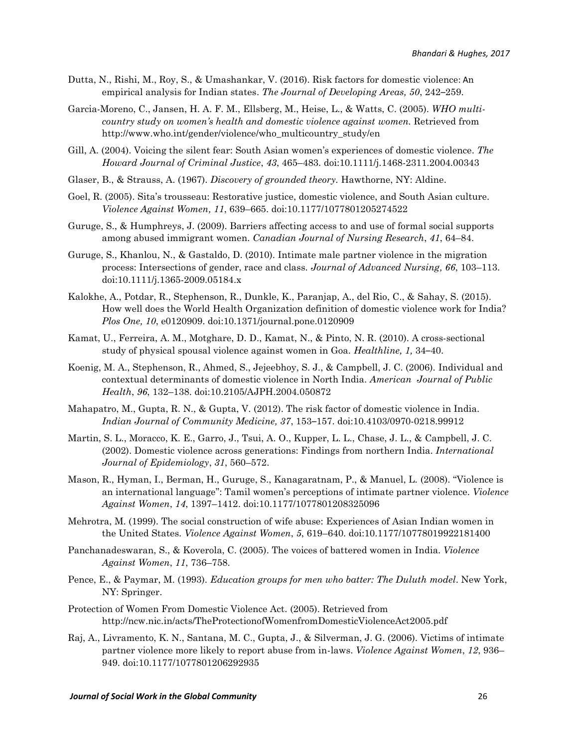- Dutta, N., Rishi, M., Roy, S., & Umashankar, V. (2016). Risk factors for domestic violence: An empirical analysis for Indian states. *The Journal of Developing Areas, 50*, 242–259.
- Garcia-Moreno, C., Jansen, H. A. F. M., Ellsberg, M., Heise, L., & Watts, C. (2005). *WHO multicountry study on women's health and domestic violence against women.* Retrieved from http://www.who.int/gender/violence/who\_multicountry\_study/en
- Gill, A. (2004). Voicing the silent fear: South Asian women's experiences of domestic violence. *The Howard Journal of Criminal Justice*, *43*, 465–483. doi:10.1111/j.1468-2311.2004.00343
- Glaser, B., & Strauss, A. (1967). *Discovery of grounded theory.* Hawthorne, NY: Aldine.
- Goel, R. (2005). Sita's trousseau: Restorative justice, domestic violence, and South Asian culture. *Violence Against Women, 11*, 639–665. doi:10.1177/1077801205274522
- Guruge, S., & Humphreys, J. (2009). Barriers affecting access to and use of formal social supports among abused immigrant women. *Canadian Journal of Nursing Research*, *41*, 64–84.
- Guruge, S., Khanlou, N., & Gastaldo, D. (2010). Intimate male partner violence in the migration process: Intersections of gender, race and class. *Journal of Advanced Nursing, 66*, 103–113. doi:10.1111/j.1365-2009.05184.x
- Kalokhe, A., Potdar, R., Stephenson, R., Dunkle, K., Paranjap, A., del Rio, C., & Sahay, S. (2015). How well does the World Health Organization definition of domestic violence work for India? *Plos One, 10*, e0120909. doi:10.1371/journal.pone.0120909
- Kamat, U., Ferreira, A. M., Motghare, D. D., Kamat, N., & Pinto, N. R. (2010). A cross-sectional study of physical spousal violence against women in Goa. *Healthline, 1,* 34–40.
- Koenig, M. A., Stephenson, R., Ahmed, S., Jejeebhoy, S. J., & Campbell, J. C. (2006). Individual and contextual determinants of domestic violence in North India. *American Journal of Public Health*, *96*, 132–138. doi:10.2105/AJPH.2004.050872
- Mahapatro, M., Gupta, R. N., & Gupta, V. (2012). The risk factor of domestic violence in India. *Indian Journal of Community Medicine, 37*, 153–157. doi:10.4103/0970-0218.99912
- Martin, S. L., Moracco, K. E., Garro, J., Tsui, A. O., Kupper, L. L., Chase, J. L., & Campbell, J. C. (2002). Domestic violence across generations: Findings from northern India. *International Journal of Epidemiology*, *31*, 560–572.
- Mason, R., Hyman, I., Berman, H., Guruge, S., Kanagaratnam, P., & Manuel, L. (2008). "Violence is an international language": Tamil women's perceptions of intimate partner violence. *Violence Against Women*, *14*, 1397–1412. doi:10.1177/1077801208325096
- Mehrotra, M. (1999). The social construction of wife abuse: Experiences of Asian Indian women in the United States. *Violence Against Women*, *5*, 619–640. doi:10.1177/10778019922181400
- Panchanadeswaran, S., & Koverola, C. (2005). The voices of battered women in India. *Violence Against Women*, *11*, 736–758.
- Pence, E., & Paymar, M. (1993). *Education groups for men who batter: The Duluth model*. New York, NY: Springer.
- Protection of Women From Domestic Violence Act. (2005). Retrieved from http://ncw.nic.in/acts/TheProtectionofWomenfromDomesticViolenceAct2005.pdf
- Raj, A., Livramento, K. N., Santana, M. C., Gupta, J., & Silverman, J. G. (2006). Victims of intimate partner violence more likely to report abuse from in-laws. *Violence Against Women*, *12*, 936– 949. doi:10.1177/1077801206292935